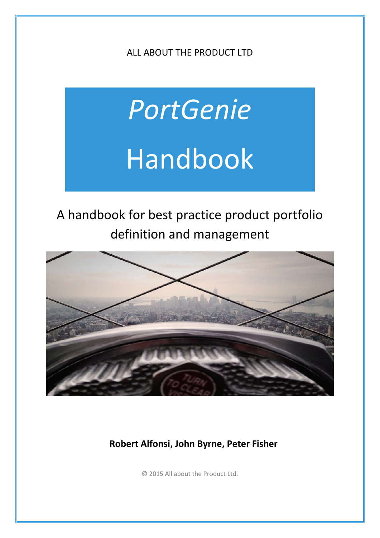ALL ABOUT THE PRODUCT LTD

# *PortGenie* Handbook

# A handbook for best practice product portfolio definition and management



**Robert Alfonsi, John Byrne, Peter Fisher**

© 2015 All about the Product Ltd.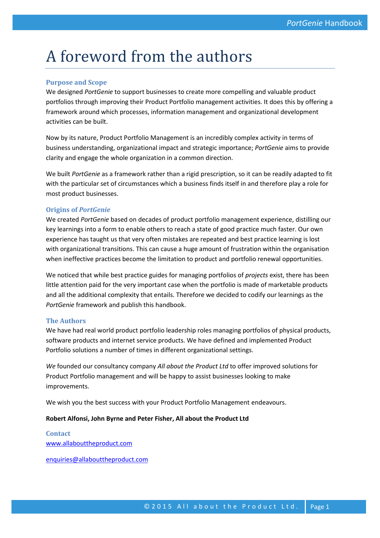# A foreword from the authors

#### **Purpose and Scope**

We designed *PortGenie* to support businesses to create more compelling and valuable product portfolios through improving their Product Portfolio management activities. It does this by offering a framework around which processes, information management and organizational development activities can be built.

Now by its nature, Product Portfolio Management is an incredibly complex activity in terms of business understanding, organizational impact and strategic importance; *PortGenie* aims to provide clarity and engage the whole organization in a common direction.

We built *PortGenie* as a framework rather than a rigid prescription, so it can be readily adapted to fit with the particular set of circumstances which a business finds itself in and therefore play a role for most product businesses.

#### **Origins of** *PortGenie*

We created *PortGenie* based on decades of product portfolio management experience, distilling our key learnings into a form to enable others to reach a state of good practice much faster. Our own experience has taught us that very often mistakes are repeated and best practice learning is lost with organizational transitions. This can cause a huge amount of frustration within the organisation when ineffective practices become the limitation to product and portfolio renewal opportunities.

We noticed that while best practice guides for managing portfolios of *projects* exist, there has been little attention paid for the very important case when the portfolio is made of marketable products and all the additional complexity that entails. Therefore we decided to codify our learnings as the *PortGenie* framework and publish this handbook.

#### **The Authors**

We have had real world product portfolio leadership roles managing portfolios of physical products, software products and internet service products. We have defined and implemented Product Portfolio solutions a number of times in different organizational settings.

*We* founded our consultancy company *All about the Product Ltd* to offer improved solutions for Product Portfolio management and will be happy to assist businesses looking to make improvements.

We wish you the best success with your Product Portfolio Management endeavours.

#### **Robert Alfonsi, John Byrne and Peter Fisher, All about the Product Ltd**

**Contact** www.allabouttheproduct.com

enquiries@allabouttheproduct.com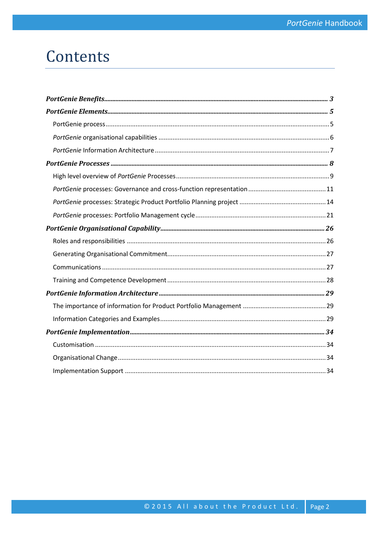# Contents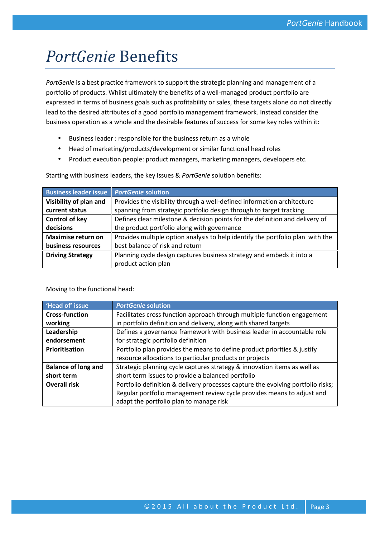# *PortGenie* Benefits

*PortGenie* is a best practice framework to support the strategic planning and management of a portfolio of products. Whilst ultimately the benefits of a well-managed product portfolio are expressed in terms of business goals such as profitability or sales, these targets alone do not directly lead to the desired attributes of a good portfolio management framework. Instead consider the business operation as a whole and the desirable features of success for some key roles within it:

- Business leader : responsible for the business return as a whole
- Head of marketing/products/development or similar functional head roles
- Product execution people: product managers, marketing managers, developers etc.

| <b>Business leader issue</b>                                                                     | <b>PortGenie solution</b>                                                      |  |
|--------------------------------------------------------------------------------------------------|--------------------------------------------------------------------------------|--|
| Visibility of plan and                                                                           | Provides the visibility through a well-defined information architecture        |  |
| current status                                                                                   | spanning from strategic portfolio design through to target tracking            |  |
| <b>Control of key</b>                                                                            | Defines clear milestone & decision points for the definition and delivery of   |  |
| decisions                                                                                        | the product portfolio along with governance                                    |  |
| <b>Maximise return on</b>                                                                        | Provides multiple option analysis to help identify the portfolio plan with the |  |
| business resources                                                                               | best balance of risk and return                                                |  |
| Planning cycle design captures business strategy and embeds it into a<br><b>Driving Strategy</b> |                                                                                |  |
|                                                                                                  | product action plan                                                            |  |

Starting with business leaders, the key issues & *PortGenie* solution benefits:

Moving to the functional head:

| 'Head of' issue            | <b>PortGenie solution</b>                                                       |  |
|----------------------------|---------------------------------------------------------------------------------|--|
| <b>Cross-function</b>      | Facilitates cross function approach through multiple function engagement        |  |
| working                    | in portfolio definition and delivery, along with shared targets                 |  |
| Leadership                 | Defines a governance framework with business leader in accountable role         |  |
| endorsement                | for strategic portfolio definition                                              |  |
| Prioritisation             | Portfolio plan provides the means to define product priorities & justify        |  |
|                            | resource allocations to particular products or projects                         |  |
| <b>Balance of long and</b> | Strategic planning cycle captures strategy & innovation items as well as        |  |
| short term                 | short term issues to provide a balanced portfolio                               |  |
| <b>Overall risk</b>        | Portfolio definition & delivery processes capture the evolving portfolio risks; |  |
|                            | Regular portfolio management review cycle provides means to adjust and          |  |
|                            | adapt the portfolio plan to manage risk                                         |  |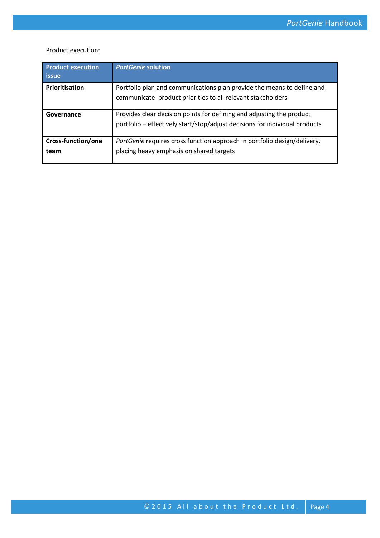Product execution:

| <b>Product execution</b><br><b>issue</b> | <b>PortGenie solution</b>                                                                                                                            |
|------------------------------------------|------------------------------------------------------------------------------------------------------------------------------------------------------|
| Prioritisation                           | Portfolio plan and communications plan provide the means to define and<br>communicate product priorities to all relevant stakeholders                |
| Governance                               | Provides clear decision points for defining and adjusting the product<br>portfolio - effectively start/stop/adjust decisions for individual products |
| Cross-function/one<br>team               | PortGenie requires cross function approach in portfolio design/delivery,<br>placing heavy emphasis on shared targets                                 |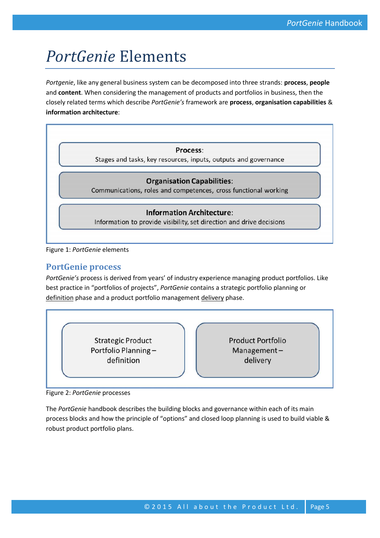# *PortGenie* Elements

*Portgenie*, like any general business system can be decomposed into three strands: **process**, **people** and **content**. When considering the management of products and portfolios in business, then the closely related terms which describe *PortGenie's* framework are **process**, **organisation capabilities** & **information architecture**:

|  |  | <b>Process:</b> |  |
|--|--|-----------------|--|
|  |  |                 |  |

Stages and tasks, key resources, inputs, outputs and governance

#### **Organisation Capabilities:**

Communications, roles and competences, cross functional working

#### **Information Architecture:**

Information to provide visibility, set direction and drive decisions

#### Figure 1: *PortGenie* elements

### **PortGenie process**

*PortGenie's* process is derived from years' of industry experience managing product portfolios. Like best practice in "portfolios of projects", *PortGenie* contains a strategic portfolio planning or definition phase and a product portfolio management delivery phase.

> **Strategic Product** Portfolio Planningdefinition

**Product Portfolio** Managementdelivery

Figure 2: *PortGenie* processes

The *PortGenie* handbook describes the building blocks and governance within each of its main process blocks and how the principle of "options" and closed loop planning is used to build viable & robust product portfolio plans.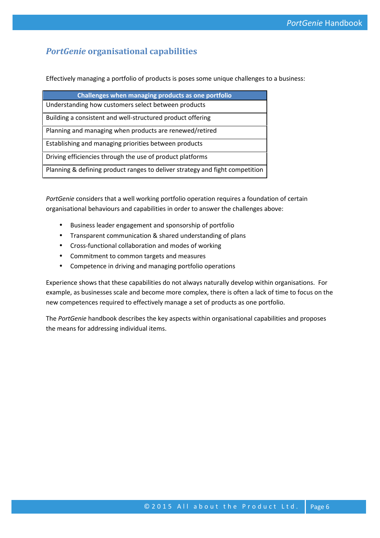# *PortGenie* **organisational capabilities**

Effectively managing a portfolio of products is poses some unique challenges to a business:

| Challenges when managing products as one portfolio                           |
|------------------------------------------------------------------------------|
| Understanding how customers select between products                          |
| Building a consistent and well-structured product offering                   |
| Planning and managing when products are renewed/retired                      |
| Establishing and managing priorities between products                        |
| Driving efficiencies through the use of product platforms                    |
| Planning & defining product ranges to deliver strategy and fight competition |

*PortGenie* considers that a well working portfolio operation requires a foundation of certain organisational behaviours and capabilities in order to answer the challenges above:

- Business leader engagement and sponsorship of portfolio
- Transparent communication & shared understanding of plans
- Cross-functional collaboration and modes of working
- Commitment to common targets and measures
- Competence in driving and managing portfolio operations

Experience shows that these capabilities do not always naturally develop within organisations. For example, as businesses scale and become more complex, there is often a lack of time to focus on the new competences required to effectively manage a set of products as one portfolio.

The *PortGenie* handbook describes the key aspects within organisational capabilities and proposes the means for addressing individual items.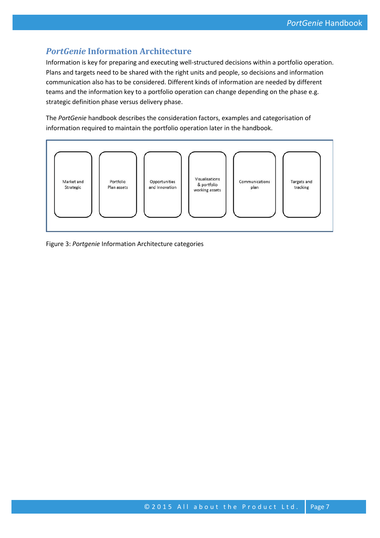# *PortGenie* **Information Architecture**

Information is key for preparing and executing well-structured decisions within a portfolio operation. Plans and targets need to be shared with the right units and people, so decisions and information communication also has to be considered. Different kinds of information are needed by different teams and the information key to a portfolio operation can change depending on the phase e.g. strategic definition phase versus delivery phase.

The *PortGenie* handbook describes the consideration factors, examples and categorisation of information required to maintain the portfolio operation later in the handbook.



Figure 3: *Portgenie* Information Architecture categories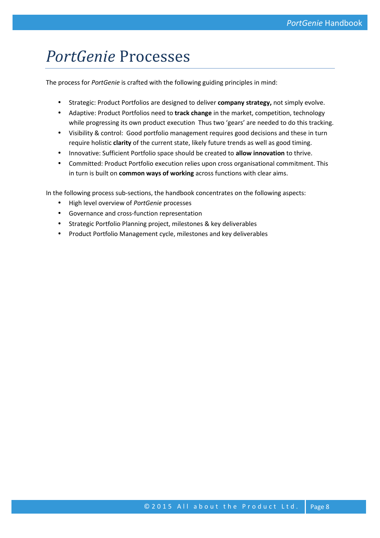# *PortGenie* Processes

The process for *PortGenie* is crafted with the following guiding principles in mind:

- Strategic: Product Portfolios are designed to deliver **company strategy,** not simply evolve.
- Adaptive: Product Portfolios need to **track change** in the market, competition, technology while progressing its own product execution Thus two 'gears' are needed to do this tracking.
- Visibility & control: Good portfolio management requires good decisions and these in turn require holistic **clarity** of the current state, likely future trends as well as good timing.
- Innovative: Sufficient Portfolio space should be created to **allow innovation** to thrive.
- Committed: Product Portfolio execution relies upon cross organisational commitment. This in turn is built on **common ways of working** across functions with clear aims.

In the following process sub-sections, the handbook concentrates on the following aspects:

- High level overview of *PortGenie* processes
- Governance and cross-function representation
- **•** Strategic Portfolio Planning project, milestones & key deliverables
- Product Portfolio Management cycle, milestones and key deliverables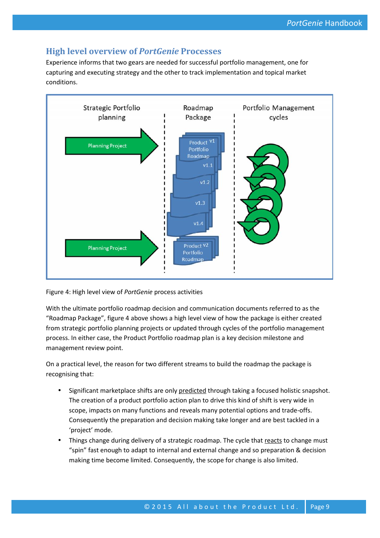# **High level overview of** *PortGenie* **Processes**

Experience informs that two gears are needed for successful portfolio management, one for capturing and executing strategy and the other to track implementation and topical market conditions.



Figure 4: High level view of *PortGenie* process activities

With the ultimate portfolio roadmap decision and communication documents referred to as the "Roadmap Package", figure 4 above shows a high level view of how the package is either created from strategic portfolio planning projects or updated through cycles of the portfolio management process. In either case, the Product Portfolio roadmap plan is a key decision milestone and management review point.

On a practical level, the reason for two different streams to build the roadmap the package is recognising that:

- Significant marketplace shifts are only predicted through taking a focused holistic snapshot. The creation of a product portfolio action plan to drive this kind of shift is very wide in scope, impacts on many functions and reveals many potential options and trade-offs. Consequently the preparation and decision making take longer and are best tackled in a 'project' mode.
- Things change during delivery of a strategic roadmap. The cycle that reacts to change must "spin" fast enough to adapt to internal and external change and so preparation & decision making time become limited. Consequently, the scope for change is also limited.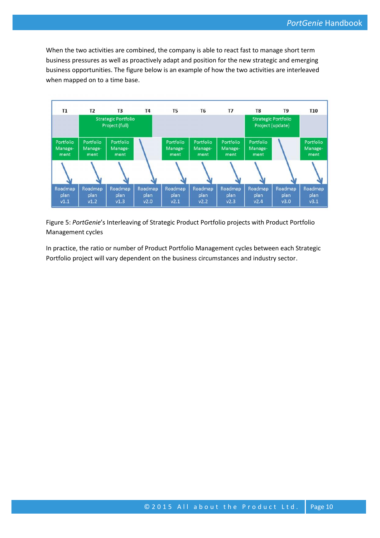When the two activities are combined, the company is able to react fast to manage short term business pressures as well as proactively adapt and position for the new strategic and emerging business opportunities. The figure below is an example of how the two activities are interleaved when mapped on to a time base.



Figure 5: *PortGenie*'s Interleaving of Strategic Product Portfolio projects with Product Portfolio Management cycles

In practice, the ratio or number of Product Portfolio Management cycles between each Strategic Portfolio project will vary dependent on the business circumstances and industry sector.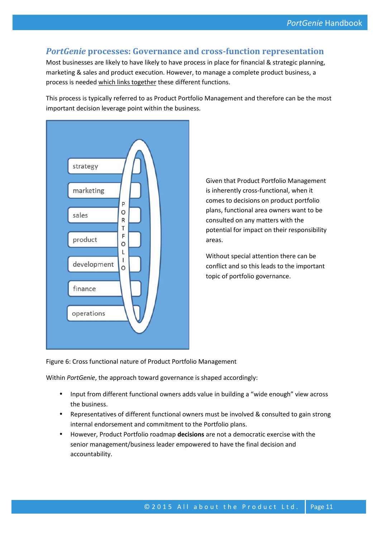### *PortGenie* **processes: Governance and cross-function representation**

Most businesses are likely to have likely to have process in place for financial & strategic planning, marketing & sales and product execution. However, to manage a complete product business, a process is needed which links together these different functions.

This process is typically referred to as Product Portfolio Management and therefore can be the most important decision leverage point within the business.



Given that Product Portfolio Management is inherently cross-functional, when it comes to decisions on product portfolio plans, functional area owners want to be consulted on any matters with the potential for impact on their responsibility areas.

Without special attention there can be conflict and so this leads to the important topic of portfolio governance.

Figure 6: Cross functional nature of Product Portfolio Management

Within *PortGenie*, the approach toward governance is shaped accordingly:

- Input from different functional owners adds value in building a "wide enough" view across the business.
- Representatives of different functional owners must be involved & consulted to gain strong internal endorsement and commitment to the Portfolio plans.
- However, Product Portfolio roadmap **decisions** are not a democratic exercise with the senior management/business leader empowered to have the final decision and accountability.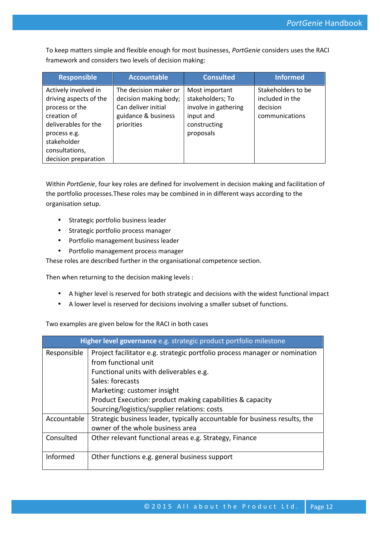To keep matters simple and flexible enough for most businesses, *PortGenie* considers uses the RACI framework and considers two levels of decision making:

| <b>Responsible</b>                                                                                                                                                               | <b>Accountable</b>                                                                                         | <b>Consulted</b>                                                                                     | <b>Informed</b>                                                     |
|----------------------------------------------------------------------------------------------------------------------------------------------------------------------------------|------------------------------------------------------------------------------------------------------------|------------------------------------------------------------------------------------------------------|---------------------------------------------------------------------|
| Actively involved in<br>driving aspects of the<br>process or the<br>creation of<br>deliverables for the<br>process e.g.<br>stakeholder<br>consultations,<br>decision preparation | The decision maker or<br>decision making body;<br>Can deliver initial<br>guidance & business<br>priorities | Most important<br>stakeholders; To<br>involve in gathering<br>input and<br>constructing<br>proposals | Stakeholders to be<br>included in the<br>decision<br>communications |

Within *PortGenie*, four key roles are defined for involvement in decision making and facilitation of the portfolio processes.These roles may be combined in in different ways according to the organisation setup.

- **•** Strategic portfolio business leader
- Strategic portfolio process manager
- Portfolio management business leader
- Portfolio management process manager

These roles are described further in the organisational competence section.

Then when returning to the decision making levels :

- A higher level is reserved for both strategic and decisions with the widest functional impact
- A lower level is reserved for decisions involving a smaller subset of functions.

Two examples are given below for the RACI in both cases

|             | Higher level governance e.g. strategic product portfolio milestone         |
|-------------|----------------------------------------------------------------------------|
| Responsible | Project facilitator e.g. strategic portfolio process manager or nomination |
|             | from functional unit                                                       |
|             | Functional units with deliverables e.g.                                    |
|             | Sales: forecasts                                                           |
|             | Marketing: customer insight                                                |
|             | Product Execution: product making capabilities & capacity                  |
|             | Sourcing/logistics/supplier relations: costs                               |
| Accountable | Strategic business leader, typically accountable for business results, the |
|             | owner of the whole business area                                           |
| Consulted   | Other relevant functional areas e.g. Strategy, Finance                     |
|             |                                                                            |
| Informed    | Other functions e.g. general business support                              |
|             |                                                                            |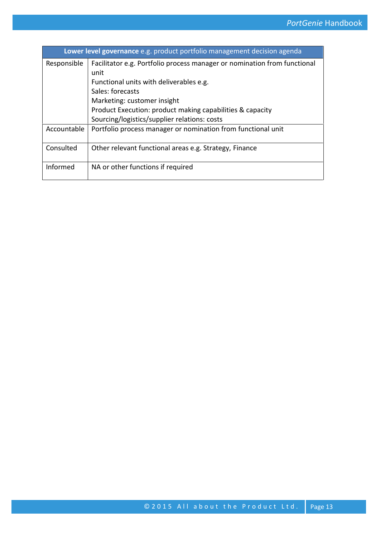|             | Lower level governance e.g. product portfolio management decision agenda |
|-------------|--------------------------------------------------------------------------|
| Responsible | Facilitator e.g. Portfolio process manager or nomination from functional |
|             | unit                                                                     |
|             | Functional units with deliverables e.g.                                  |
|             | Sales: forecasts                                                         |
|             | Marketing: customer insight                                              |
|             | Product Execution: product making capabilities & capacity                |
|             | Sourcing/logistics/supplier relations: costs                             |
| Accountable | Portfolio process manager or nomination from functional unit             |
| Consulted   | Other relevant functional areas e.g. Strategy, Finance                   |
| Informed    | NA or other functions if required                                        |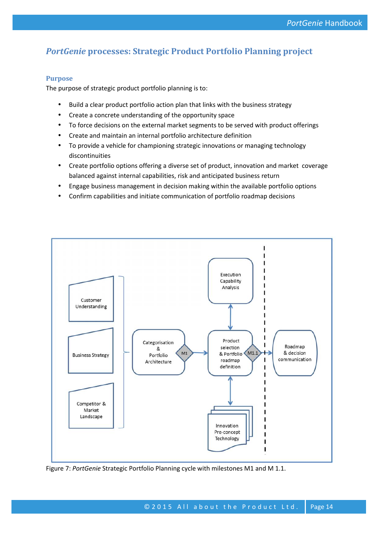# *PortGenie* **processes: Strategic Product Portfolio Planning project**

#### **Purpose**

The purpose of strategic product portfolio planning is to:

- Build a clear product portfolio action plan that links with the business strategy
- Create a concrete understanding of the opportunity space
- To force decisions on the external market segments to be served with product offerings
- Create and maintain an internal portfolio architecture definition
- To provide a vehicle for championing strategic innovations or managing technology discontinuities
- Create portfolio options offering a diverse set of product, innovation and market coverage balanced against internal capabilities, risk and anticipated business return
- Engage business management in decision making within the available portfolio options
- Confirm capabilities and initiate communication of portfolio roadmap decisions



Figure 7: *PortGenie* Strategic Portfolio Planning cycle with milestones M1 and M 1.1.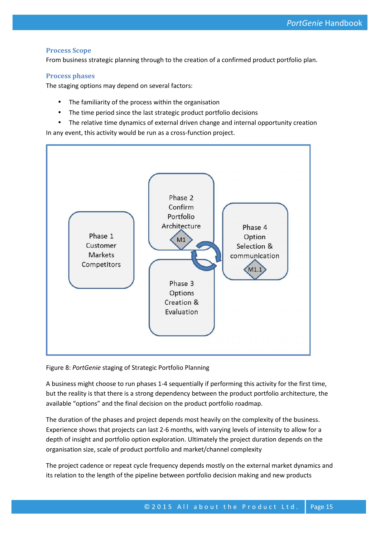#### **Process Scope**

From business strategic planning through to the creation of a confirmed product portfolio plan.

#### **Process phases**

The staging options may depend on several factors:

- The familiarity of the process within the organisation
- The time period since the last strategic product portfolio decisions
- The relative time dynamics of external driven change and internal opportunity creation

In any event, this activity would be run as a cross-function project.



Figure 8: *PortGenie* staging of Strategic Portfolio Planning

A business might choose to run phases 1-4 sequentially if performing this activity for the first time, but the reality is that there is a strong dependency between the product portfolio architecture, the available "options" and the final decision on the product portfolio roadmap.

The duration of the phases and project depends most heavily on the complexity of the business. Experience shows that projects can last 2-6 months, with varying levels of intensity to allow for a depth of insight and portfolio option exploration. Ultimately the project duration depends on the organisation size, scale of product portfolio and market/channel complexity

e trequency depends mostly on the external market dynamics and<br>eline between portfolio decision making and new products<br>© 2015 All about the Product Ltd. Page 15 The project cadence or repeat cycle frequency depends mostly on the external market dynamics and its relation to the length of the pipeline between portfolio decision making and new products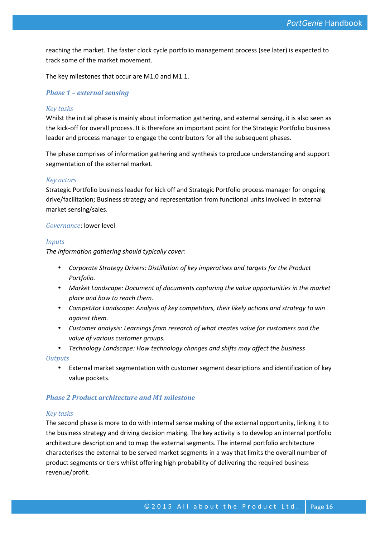reaching the market. The faster clock cycle portfolio management process (see later) is expected to track some of the market movement.

The key milestones that occur are M1.0 and M1.1.

#### *Phase 1 – external sensing*

#### *Key tasks*

Whilst the initial phase is mainly about information gathering, and external sensing, it is also seen as the kick-off for overall process. It is therefore an important point for the Strategic Portfolio business leader and process manager to engage the contributors for all the subsequent phases.

The phase comprises of information gathering and synthesis to produce understanding and support segmentation of the external market.

#### *Key actors*

Strategic Portfolio business leader for kick off and Strategic Portfolio process manager for ongoing drive/facilitation; Business strategy and representation from functional units involved in external market sensing/sales.

#### *Governance*: lower level

#### *Inputs*

*The information gathering should typically cover:*

- *Corporate Strategy Drivers: Distillation of key imperatives and targets for the Product Portfolio.*
- *Market Landscape: Document of documents capturing the value opportunities in the market place and how to reach them.*
- *Competitor Landscape: Analysis of key competitors, their likely actions and strategy to win against them.*
- *Customer analysis: Learnings from research of what creates value for customers and the value of various customer groups.*
- *Technology Landscape: How technology changes and shifts may affect the business*

*Outputs*

 External market segmentation with customer segment descriptions and identification of key value pockets.

#### *Phase 2 Product architecture and M1 milestone*

#### *Key tasks*

Neting inger probability of delivering the required business<br>© 2015 All about the Product Ltd. Page 16 The second phase is more to do with internal sense making of the external opportunity, linking it to the business strategy and driving decision making. The key activity is to develop an internal portfolio architecture description and to map the external segments. The internal portfolio architecture characterises the external to be served market segments in a way that limits the overall number of product segments or tiers whilst offering high probability of delivering the required business revenue/profit.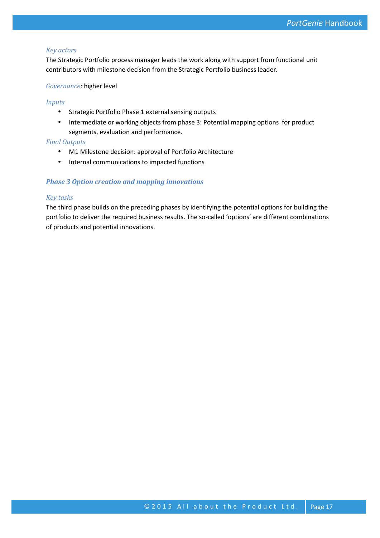#### *Key actors*

The Strategic Portfolio process manager leads the work along with support from functional unit contributors with milestone decision from the Strategic Portfolio business leader.

#### *Governance*: higher level

#### *Inputs*

- Strategic Portfolio Phase 1 external sensing outputs
- Intermediate or working objects from phase 3: Potential mapping options for product segments, evaluation and performance.

#### *Final Outputs*

- M1 Milestone decision: approval of Portfolio Architecture
- $\bullet$  Internal communications to impacted functions

#### *Phase 3 Option creation and mapping innovations*

#### *Key tasks*

The third phase builds on the preceding phases by identifying the potential options for building the portfolio to deliver the required business results. The so-called 'options' are different combinations of products and potential innovations.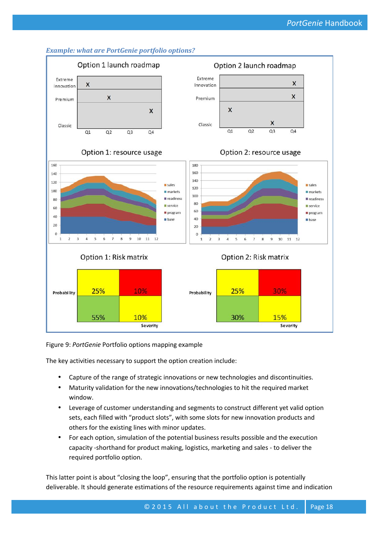

#### *Example: what are PortGenie portfolio options?*

Figure 9: *PortGenie* Portfolio options mapping example

The key activities necessary to support the option creation include:

- Capture of the range of strategic innovations or new technologies and discontinuities.
- Maturity validation for the new innovations/technologies to hit the required market window.
- Leverage of customer understanding and segments to construct different yet valid option sets, each filled with "product slots", with some slots for new innovation products and others for the existing lines with minor updates.
- For each option, simulation of the potential business results possible and the execution capacity -shorthand for product making, logistics, marketing and sales - to deliver the required portfolio option.

he loop", ensuring that the portfolio option is potentially<br>imations of the resource requirements against time and indication<br>© 2 0 1 5 A l l a b o u t the P r o d u c t L t d . Page 18 This latter point is about "closing the loop", ensuring that the portfolio option is potentially deliverable. It should generate estimations of the resource requirements against time and indication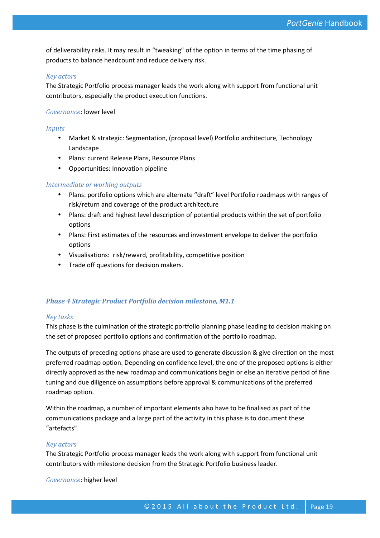of deliverability risks. It may result in "tweaking" of the option in terms of the time phasing of products to balance headcount and reduce delivery risk.

#### *Key actors*

The Strategic Portfolio process manager leads the work along with support from functional unit contributors, especially the product execution functions.

#### *Governance*: lower level

#### *Inputs*

- Market & strategic: Segmentation, (proposal level) Portfolio architecture, Technology Landscape
- Plans: current Release Plans, Resource Plans
- Opportunities: Innovation pipeline

#### *Intermediate or working outputs*

- Plans: portfolio options which are alternate "draft" level Portfolio roadmaps with ranges of risk/return and coverage of the product architecture
- Plans: draft and highest level description of potential products within the set of portfolio options
- Plans: First estimates of the resources and investment envelope to deliver the portfolio options
- Visualisations: risk/reward, profitability, competitive position
- **•** Trade off questions for decision makers.

#### *Phase 4 Strategic Product Portfolio decision milestone, M1.1*

#### *Key tasks*

This phase is the culmination of the strategic portfolio planning phase leading to decision making on the set of proposed portfolio options and confirmation of the portfolio roadmap.

The outputs of preceding options phase are used to generate discussion & give direction on the most preferred roadmap option. Depending on confidence level, the one of the proposed options is either directly approved as the new roadmap and communications begin or else an iterative period of fine tuning and due diligence on assumptions before approval & communications of the preferred roadmap option.

Within the roadmap, a number of important elements also have to be finalised as part of the communications package and a large part of the activity in this phase is to document these "artefacts".

#### *Key actors*

The Strategic Portfolio process manager leads the work along with support from functional unit contributors with milestone decision from the Strategic Portfolio business leader.

*Governance*: higher level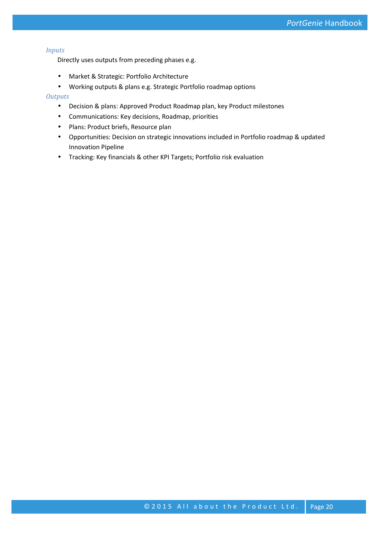#### *Inputs*

Directly uses outputs from preceding phases e.g.

- Market & Strategic: Portfolio Architecture
- Working outputs & plans e.g. Strategic Portfolio roadmap options

#### *Outputs*

- Decision & plans: Approved Product Roadmap plan, key Product milestones
- Communications: Key decisions, Roadmap, priorities
- Plans: Product briefs, Resource plan
- Opportunities: Decision on strategic innovations included in Portfolio roadmap & updated Innovation Pipeline
- Tracking: Key financials & other KPI Targets; Portfolio risk evaluation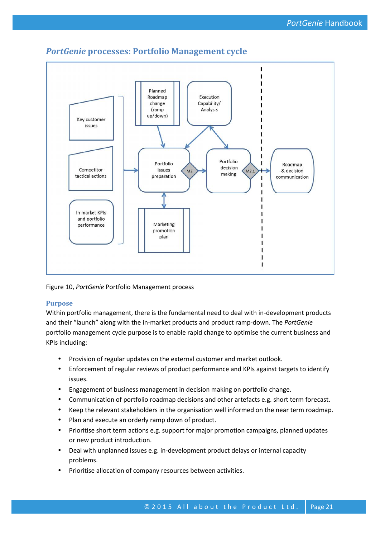

# *PortGenie* **processes: Portfolio Management cycle**

Figure 10, *PortGenie* Portfolio Management process

#### **Purpose**

Within portfolio management, there is the fundamental need to deal with in-development products and their "launch" along with the in-market products and product ramp-down. The *PortGenie* portfolio management cycle purpose is to enable rapid change to optimise the current business and KPIs including:

- Provision of regular updates on the external customer and market outlook.
- Enforcement of regular reviews of product performance and KPIs against targets to identify issues.
- Engagement of business management in decision making on portfolio change.
- Communication of portfolio roadmap decisions and other artefacts e.g. short term forecast.
- Keep the relevant stakeholders in the organisation well informed on the near term roadmap.
- Plan and execute an orderly ramp down of product.
- Prioritise short term actions e.g. support for major promotion campaigns, planned updates or new product introduction.
- Deal with unplanned issues e.g. in-development product delays or internal capacity problems.
- Prioritise allocation of company resources between activities.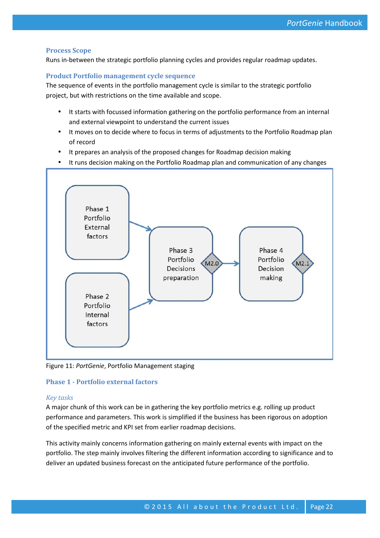#### **Process Scope**

Runs in-between the strategic portfolio planning cycles and provides regular roadmap updates.

#### **Product Portfolio management cycle sequence**

The sequence of events in the portfolio management cycle is similar to the strategic portfolio project, but with restrictions on the time available and scope.

- It starts with focussed information gathering on the portfolio performance from an internal and external viewpoint to understand the current issues
- It moves on to decide where to focus in terms of adjustments to the Portfolio Roadmap plan of record
- It prepares an analysis of the proposed changes for Roadmap decision making
- It runs decision making on the Portfolio Roadmap plan and communication of any changes



Figure 11: *PortGenie*, Portfolio Management staging

#### **Phase 1 - Portfolio external factors**

#### *Key tasks*

A major chunk of this work can be in gathering the key portfolio metrics e.g. rolling up product performance and parameters. This work is simplified if the business has been rigorous on adoption of the specified metric and KPI set from earlier roadmap decisions.

This activity mainly concerns information gathering on mainly external events with impact on the portfolio. The step mainly involves filtering the different information according to significance and to deliver an updated business forecast on the anticipated future performance of the portfolio.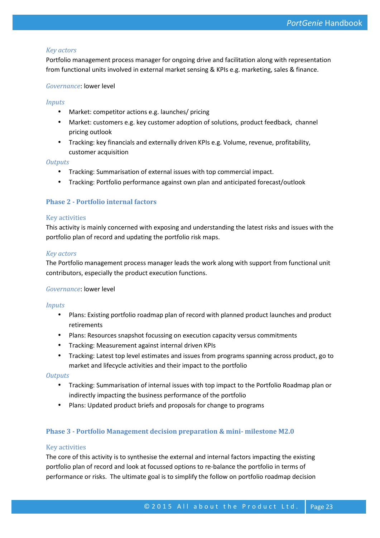#### *Key actors*

Portfolio management process manager for ongoing drive and facilitation along with representation from functional units involved in external market sensing & KPIs e.g. marketing, sales & finance.

#### *Governance*: lower level

#### *Inputs*

- Market: competitor actions e.g. launches/ pricing
- Market: customers e.g. key customer adoption of solutions, product feedback, channel pricing outlook
- Tracking: key financials and externally driven KPIs e.g. Volume, revenue, profitability, customer acquisition

#### *Outputs*

- Tracking: Summarisation of external issues with top commercial impact.
- Tracking: Portfolio performance against own plan and anticipated forecast/outlook

#### **Phase 2 - Portfolio internal factors**

#### Key activities

This activity is mainly concerned with exposing and understanding the latest risks and issues with the portfolio plan of record and updating the portfolio risk maps.

#### *Key actors*

The Portfolio management process manager leads the work along with support from functional unit contributors, especially the product execution functions.

#### *Governance*: lower level

#### *Inputs*

- Plans: Existing portfolio roadmap plan of record with planned product launches and product retirements
- Plans: Resources snapshot focussing on execution capacity versus commitments
- Tracking: Measurement against internal driven KPIs
- Tracking: Latest top level estimates and issues from programs spanning across product, go to market and lifecycle activities and their impact to the portfolio

#### *Outputs*

- Tracking: Summarisation of internal issues with top impact to the Portfolio Roadmap plan or indirectly impacting the business performance of the portfolio
- Plans: Updated product briefs and proposals for change to programs

#### **Phase 3 - Portfolio Management decision preparation & mini- milestone M2.0**

#### Key activities

t focussed options to re-balance the portfolio in terms of<br>
e goal is to simplify the follow on portfolio roadmap decision<br>
© 2015 All about the Product Ltd. Page 23 The core of this activity is to synthesise the external and internal factors impacting the existing portfolio plan of record and look at focussed options to re-balance the portfolio in terms of performance or risks. The ultimate goal is to simplify the follow on portfolio roadmap decision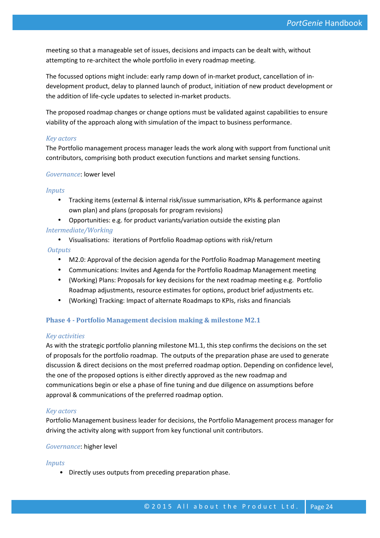meeting so that a manageable set of issues, decisions and impacts can be dealt with, without attempting to re-architect the whole portfolio in every roadmap meeting.

The focussed options might include: early ramp down of in-market product, cancellation of in development product, delay to planned launch of product, initiation of new product development or the addition of life-cycle updates to selected in-market products.

The proposed roadmap changes or change options must be validated against capabilities to ensure viability of the approach along with simulation of the impact to business performance.

#### *Key actors*

The Portfolio management process manager leads the work along with support from functional unit contributors, comprising both product execution functions and market sensing functions.

#### *Governance*: lower level

#### *Inputs*

- Tracking items (external & internal risk/issue summarisation, KPIs & performance against own plan) and plans (proposals for program revisions)
- Opportunities: e.g. for product variants/variation outside the existing plan

#### *Intermediate/Working*

Visualisations: iterations of Portfolio Roadmap options with risk/return

#### *Outputs*

- M2.0: Approval of the decision agenda for the Portfolio Roadmap Management meeting
- Communications: Invites and Agenda for the Portfolio Roadmap Management meeting
- (Working) Plans: Proposals for key decisions for the next roadmap meeting e.g. Portfolio Roadmap adjustments, resource estimates for options, product brief adjustments etc.
- (Working) Tracking: Impact of alternate Roadmaps to KPIs, risks and financials

#### **Phase 4 - Portfolio Management decision making & milestone M2.1**

#### *Key activities*

As with the strategic portfolio planning milestone M1.1, this step confirms the decisions on the set of proposals for the portfolio roadmap. The outputs of the preparation phase are used to generate discussion & direct decisions on the most preferred roadmap option. Depending on confidence level, the one of the proposed options is either directly approved as the new roadmap and communications begin or else a phase of fine tuning and due diligence on assumptions before approval & communications of the preferred roadmap option.

#### *Key actors*

Portfolio Management business leader for decisions, the Portfolio Management process manager for driving the activity along with support from key functional unit contributors.

#### *Governance*: higher level

#### *Inputs*

• Directly uses outputs from preceding preparation phase.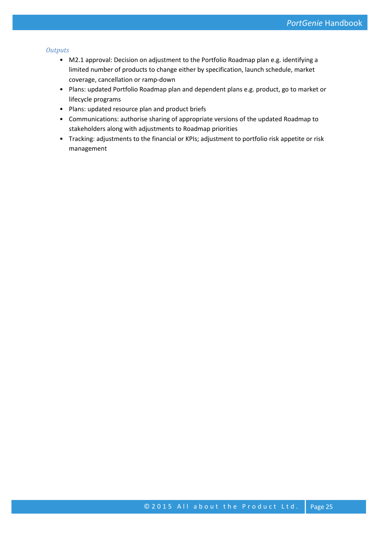#### *Outputs*

- M2.1 approval: Decision on adjustment to the Portfolio Roadmap plan e.g. identifying a limited number of products to change either by specification, launch schedule, market coverage, cancellation or ramp-down
- Plans: updated Portfolio Roadmap plan and dependent plans e.g. product, go to market or lifecycle programs
- Plans: updated resource plan and product briefs
- Communications: authorise sharing of appropriate versions of the updated Roadmap to stakeholders along with adjustments to Roadmap priorities
- Tracking: adjustments to the financial or KPIs; adjustment to portfolio risk appetite or risk management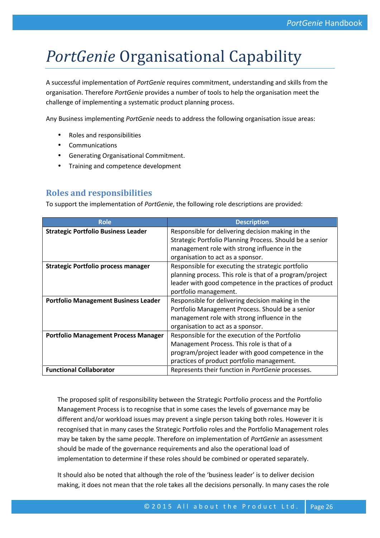# *PortGenie* Organisational Capability

A successful implementation of *PortGenie* requires commitment, understanding and skills from the organisation. Therefore *PortGenie* provides a number of tools to help the organisation meet the challenge of implementing a systematic product planning process.

Any Business implementing *PortGenie* needs to address the following organisation issue areas:

- Roles and responsibilities
- Communications
- Generating Organisational Commitment.
- Training and competence development

# **Roles and responsibilities**

To support the implementation of *PortGenie*, the following role descriptions are provided:

| <b>Role</b>                                 | <b>Description</b>                                       |
|---------------------------------------------|----------------------------------------------------------|
| <b>Strategic Portfolio Business Leader</b>  | Responsible for delivering decision making in the        |
|                                             | Strategic Portfolio Planning Process. Should be a senior |
|                                             | management role with strong influence in the             |
|                                             | organisation to act as a sponsor.                        |
| <b>Strategic Portfolio process manager</b>  | Responsible for executing the strategic portfolio        |
|                                             | planning process. This role is that of a program/project |
|                                             | leader with good competence in the practices of product  |
|                                             | portfolio management.                                    |
| <b>Portfolio Management Business Leader</b> | Responsible for delivering decision making in the        |
|                                             | Portfolio Management Process. Should be a senior         |
|                                             | management role with strong influence in the             |
|                                             | organisation to act as a sponsor.                        |
| <b>Portfolio Management Process Manager</b> | Responsible for the execution of the Portfolio           |
|                                             | Management Process. This role is that of a               |
|                                             | program/project leader with good competence in the       |
|                                             | practices of product portfolio management.               |
| <b>Functional Collaborator</b>              | Represents their function in PortGenie processes.        |

The proposed split of responsibility between the Strategic Portfolio process and the Portfolio Management Process is to recognise that in some cases the levels of governance may be different and/or workload issues may prevent a single person taking both roles. However it is recognised that in many cases the Strategic Portfolio roles and the Portfolio Management roles may be taken by the same people. Therefore on implementation of *PortGenie* an assessment should be made of the governance requirements and also the operational load of implementation to determine if these roles should be combined or operated separately.

Shough the role of the 'business leader' is to deliver decision<br>the role takes all the decisions personally. In many cases the role<br>© 2015 All about the Product Ltd. Page 26 It should also be noted that although the role of the 'business leader' is to deliver decision making, it does not mean that the role takes all the decisions personally. In many cases the role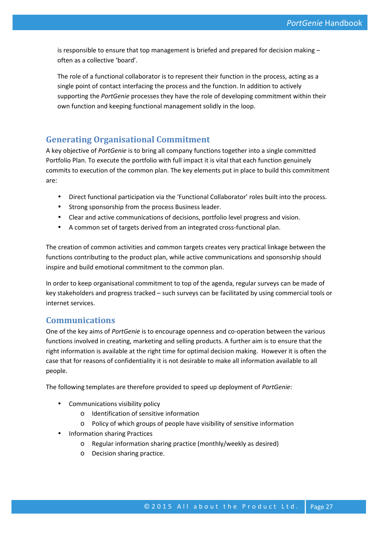is responsible to ensure that top management is briefed and prepared for decision making – often as a collective 'board'.

The role of a functional collaborator is to represent their function in the process, acting as a single point of contact interfacing the process and the function. In addition to actively supporting the *PortGenie* processes they have the role of developing commitment within their own function and keeping functional management solidly in the loop.

### **Generating Organisational Commitment**

A key objective of *PortGenie* is to bring all company functions together into a single committed Portfolio Plan. To execute the portfolio with full impact it is vital that each function genuinely commits to execution of the common plan. The key elements put in place to build this commitment are:

- Direct functional participation via the 'Functional Collaborator' roles built into the process.
- Strong sponsorship from the process Business leader.
- Clear and active communications of decisions, portfolio level progress and vision.
- A common set of targets derived from an integrated cross-functional plan.

The creation of common activities and common targets creates very practical linkage between the functions contributing to the product plan, while active communications and sponsorship should inspire and build emotional commitment to the common plan.

In order to keep organisational commitment to top of the agenda, regular surveys can be made of key stakeholders and progress tracked – such surveys can be facilitated by using commercial tools or internet services.

### **Communications**

One of the key aims of *PortGenie* is to encourage openness and co-operation between the various functions involved in creating, marketing and selling products. A further aim is to ensure that the right information is available at the right time for optimal decision making. However it is often the case that for reasons of confidentiality it is not desirable to make all information available to all people.

The following templates are therefore provided to speed up deployment of *PortGenie*:

- Communications visibility policy
	- o Identification of sensitive information
	- o Policy of which groups of people have visibility of sensitive information
- Information sharing Practices
	- o Regular information sharing practice (monthly/weekly as desired)
	- o Decision sharing practice.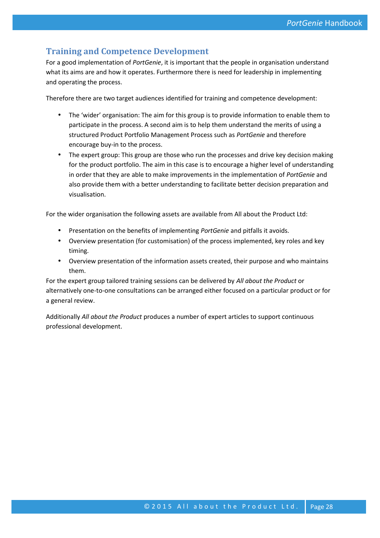# **Training and Competence Development**

For a good implementation of *PortGenie*, it is important that the people in organisation understand what its aims are and how it operates. Furthermore there is need for leadership in implementing and operating the process.

Therefore there are two target audiences identified for training and competence development:

- The 'wider' organisation: The aim for this group is to provide information to enable them to participate in the process. A second aim is to help them understand the merits of using a structured Product Portfolio Management Process such as *PortGenie* and therefore encourage buy-in to the process.
- The expert group: This group are those who run the processes and drive key decision making for the product portfolio. The aim in this case is to encourage a higher level of understanding in order that they are able to make improvements in the implementation of *PortGenie* and also provide them with a better understanding to facilitate better decision preparation and visualisation.

For the wider organisation the following assets are available from All about the Product Ltd:

- Presentation on the benefits of implementing *PortGenie* and pitfalls it avoids.
- Overview presentation (for customisation) of the process implemented, key roles and key timing.
- Overview presentation of the information assets created, their purpose and who maintains them.

For the expert group tailored training sessions can be delivered by *All about the Product* or alternatively one-to-one consultations can be arranged either focused on a particular product or for a general review.

Additionally *All about the Product* produces a number of expert articles to support continuous professional development.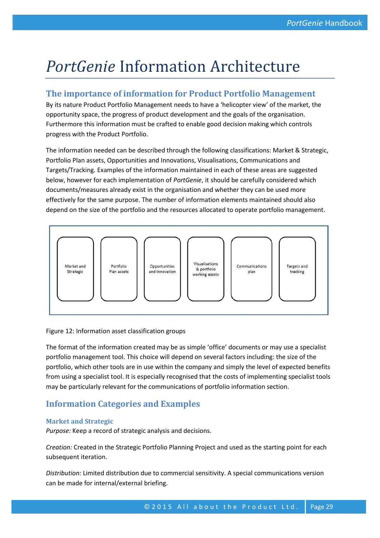# *PortGenie* Information Architecture

## **The importance of information for Product Portfolio Management**

By its nature Product Portfolio Management needs to have a 'helicopter view' of the market, the opportunity space, the progress of product development and the goals of the organisation. Furthermore this information must be crafted to enable good decision making which controls progress with the Product Portfolio.

The information needed can be described through the following classifications: Market & Strategic, Portfolio Plan assets, Opportunities and Innovations, Visualisations, Communications and Targets/Tracking. Examples of the information maintained in each of these areas are suggested below, however for each implementation of *PortGenie*, it should be carefully considered which documents/measures already exist in the organisation and whether they can be used more effectively for the same purpose. The number of information elements maintained should also depend on the size of the portfolio and the resources allocated to operate portfolio management.



#### Figure 12: Information asset classification groups

The format of the information created may be as simple 'office' documents or may use a specialist portfolio management tool. This choice will depend on several factors including: the size of the portfolio, which other tools are in use within the company and simply the level of expected benefits from using a specialist tool. It is especially recognised that the costs of implementing specialist tools may be particularly relevant for the communications of portfolio information section.

### **Information Categories and Examples**

#### **Market and Strategic**

*Purpose:* Keep a record of strategic analysis and decisions.

*Creation:* Created in the Strategic Portfolio Planning Project and used as the starting point for each subsequent iteration.

ue to commercial sensitivity. A special communications version<br>
briefing.<br>
© 2015 All about the Product Ltd. Page 29 *Distribution:* Limited distribution due to commercial sensitivity. A special communications version can be made for internal/external briefing.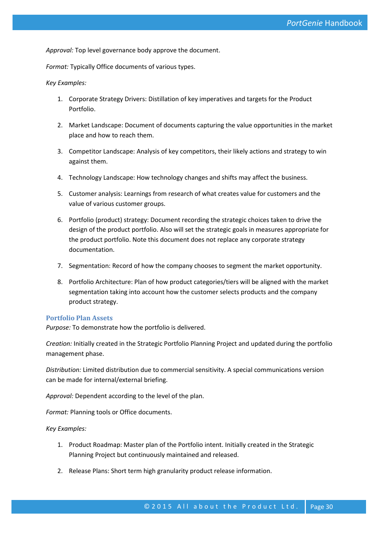*Approval:* Top level governance body approve the document.

*Format:* Typically Office documents of various types.

#### *Key Examples:*

- 1. Corporate Strategy Drivers: Distillation of key imperatives and targets for the Product Portfolio.
- 2. Market Landscape: Document of documents capturing the value opportunities in the market place and how to reach them.
- 3. Competitor Landscape: Analysis of key competitors, their likely actions and strategy to win against them.
- 4. Technology Landscape: How technology changes and shifts may affect the business.
- 5. Customer analysis: Learnings from research of what creates value for customers and the value of various customer groups.
- 6. Portfolio (product) strategy: Document recording the strategic choices taken to drive the design of the product portfolio. Also will set the strategic goals in measures appropriate for the product portfolio. Note this document does not replace any corporate strategy documentation.
- 7. Segmentation: Record of how the company chooses to segment the market opportunity.
- 8. Portfolio Architecture: Plan of how product categories/tiers will be aligned with the market segmentation taking into account how the customer selects products and the company product strategy.

#### **Portfolio Plan Assets**

*Purpose:* To demonstrate how the portfolio is delivered.

*Creation:* Initially created in the Strategic Portfolio Planning Project and updated during the portfolio management phase.

*Distribution:* Limited distribution due to commercial sensitivity. A special communications version can be made for internal/external briefing.

*Approval:* Dependent according to the level of the plan.

*Format:* Planning tools or Office documents.

*Key Examples:*

- 1. Product Roadmap: Master plan of the Portfolio intent. Initially created in the Strategic Planning Project but continuously maintained and released.
- 2. Release Plans: Short term high granularity product release information.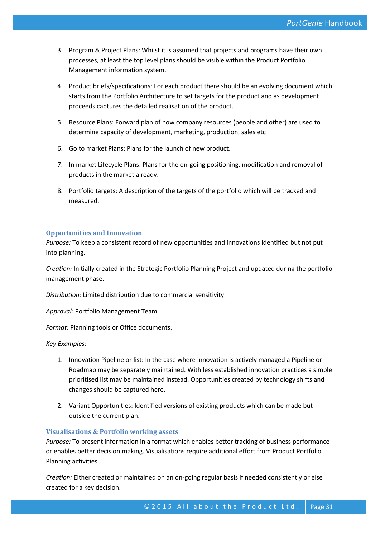- 3. Program & Project Plans: Whilst it is assumed that projects and programs have their own processes, at least the top level plans should be visible within the Product Portfolio Management information system.
- 4. Product briefs/specifications: For each product there should be an evolving document which starts from the Portfolio Architecture to set targets for the product and as development proceeds captures the detailed realisation of the product.
- 5. Resource Plans: Forward plan of how company resources (people and other) are used to determine capacity of development, marketing, production, sales etc
- 6. Go to market Plans: Plans for the launch of new product.
- 7. In market Lifecycle Plans: Plans for the on-going positioning, modification and removal of products in the market already.
- 8. Portfolio targets: A description of the targets of the portfolio which will be tracked and measured.

#### **Opportunities and Innovation**

*Purpose:* To keep a consistent record of new opportunities and innovations identified but not put into planning.

*Creation:* Initially created in the Strategic Portfolio Planning Project and updated during the portfolio management phase.

*Distribution:* Limited distribution due to commercial sensitivity.

*Approval:* Portfolio Management Team.

*Format:* Planning tools or Office documents.

*Key Examples:*

- 1. Innovation Pipeline or list: In the case where innovation is actively managed a Pipeline or Roadmap may be separately maintained. With less established innovation practices a simple prioritised list may be maintained instead. Opportunities created by technology shifts and changes should be captured here.
- 2. Variant Opportunities: Identified versions of existing products which can be made but outside the current plan.

#### **Visualisations & Portfolio working assets**

*Purpose:* To present information in a format which enables better tracking of business performance or enables better decision making. Visualisations require additional effort from Product Portfolio Planning activities.

ined on an on-going regular basis if needed consistently or else<br>© 2015 All about the Product Ltd. Page 31 *Creation:* Either created or maintained on an on-going regular basis if needed consistently or else created for a key decision.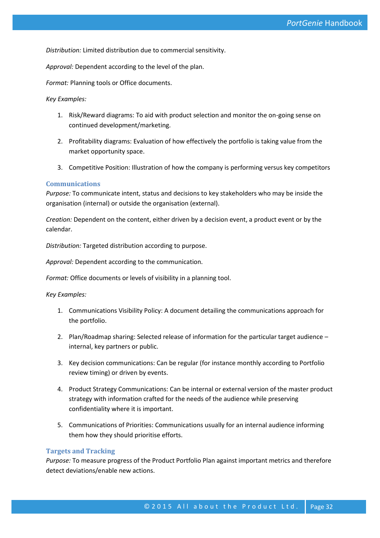*Distribution:* Limited distribution due to commercial sensitivity.

*Approval:* Dependent according to the level of the plan.

*Format:* Planning tools or Office documents.

*Key Examples:*

- 1. Risk/Reward diagrams: To aid with product selection and monitor the on-going sense on continued development/marketing.
- 2. Profitability diagrams: Evaluation of how effectively the portfolio is taking value from the market opportunity space.
- 3. Competitive Position: Illustration of how the company is performing versus key competitors

#### **Communications**

*Purpose:* To communicate intent, status and decisions to key stakeholders who may be inside the organisation (internal) or outside the organisation (external).

*Creation:* Dependent on the content, either driven by a decision event, a product event or by the calendar.

*Distribution:* Targeted distribution according to purpose.

*Approval:* Dependent according to the communication.

*Format:* Office documents or levels of visibility in a planning tool.

*Key Examples:*

- 1. Communications Visibility Policy: A document detailing the communications approach for the portfolio.
- 2. Plan/Roadmap sharing: Selected release of information for the particular target audience internal, key partners or public.
- 3. Key decision communications: Can be regular (for instance monthly according to Portfolio review timing) or driven by events.
- 4. Product Strategy Communications: Can be internal or external version of the master product strategy with information crafted for the needs of the audience while preserving confidentiality where it is important.
- 5. Communications of Priorities: Communications usually for an internal audience informing them how they should prioritise efforts.

#### **Targets and Tracking**

ons.<br>© 2015 All about the Product Ltd. Page 32 *Purpose:* To measure progress of the Product Portfolio Plan against important metrics and therefore detect deviations/enable new actions.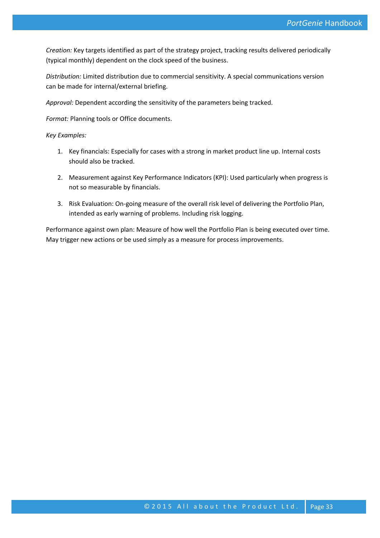*Creation:* Key targets identified as part of the strategy project, tracking results delivered periodically (typical monthly) dependent on the clock speed of the business.

*Distribution:* Limited distribution due to commercial sensitivity. A special communications version can be made for internal/external briefing.

*Approval:* Dependent according the sensitivity of the parameters being tracked.

*Format:* Planning tools or Office documents.

#### *Key Examples:*

- 1. Key financials: Especially for cases with a strong in market product line up. Internal costs should also be tracked.
- 2. Measurement against Key Performance Indicators (KPI): Used particularly when progress is not so measurable by financials.
- 3. Risk Evaluation: On-going measure of the overall risk level of delivering the Portfolio Plan, intended as early warning of problems. Including risk logging.

Performance against own plan: Measure of how well the Portfolio Plan is being executed over time. May trigger new actions or be used simply as a measure for process improvements.